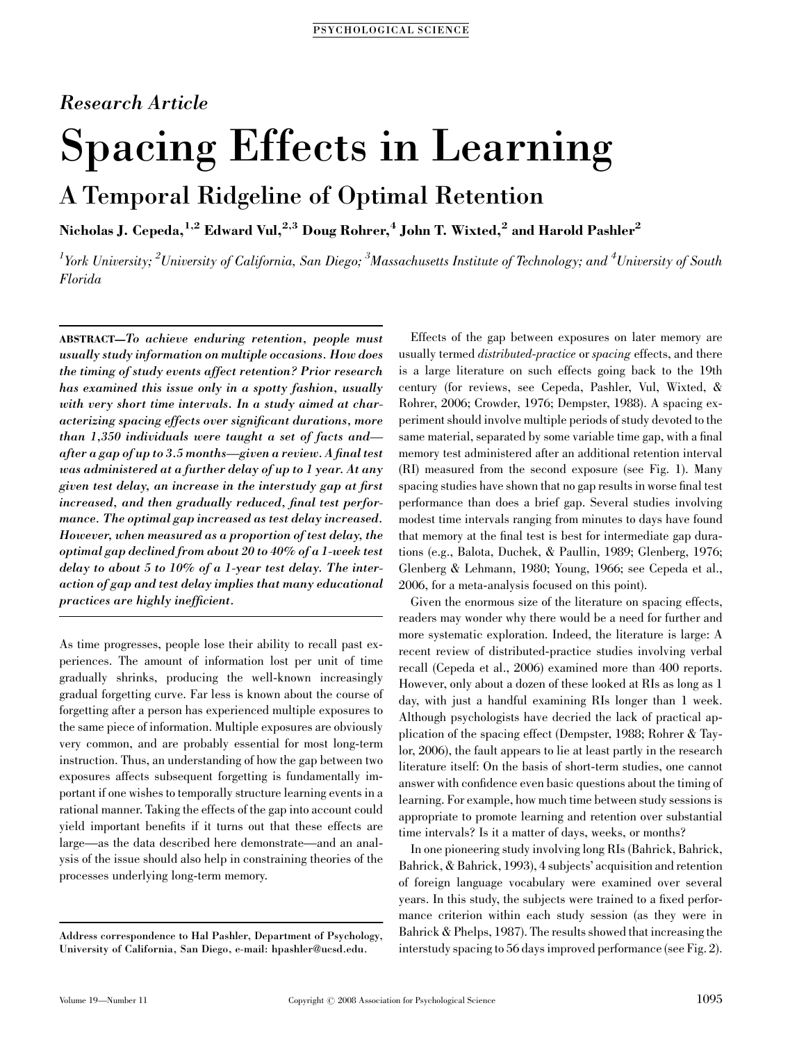### Research Article

# Spacing Effects in Learning

## A Temporal Ridgeline of Optimal Retention

Nicholas J. Cepeda,<sup>1,2</sup> Edward Vul,<sup>2,3</sup> Doug Rohrer,<sup>4</sup> John T. Wixted,<sup>2</sup> and Harold Pashler<sup>2</sup>

 $^l$ York University;  $^2$ University of California, San Diego;  $^3$ Massachusetts Institute of Technology; and  $^4$ University of South Florida

ABSTRACT—To achieve enduring retention, people must usually study information on multiple occasions. How does the timing of study events affect retention? Prior research has examined this issue only in a spotty fashion, usually with very short time intervals. In a study aimed at characterizing spacing effects over significant durations, more than 1,350 individuals were taught a set of facts and after a gap of up to 3.5 months—given a review. A final test was administered at a further delay of up to 1 year. At any given test delay, an increase in the interstudy gap at first increased, and then gradually reduced, final test performance. The optimal gap increased as test delay increased. However, when measured as a proportion of test delay, the optimal gap declined from about 20 to 40% of a 1-week test delay to about 5 to 10% of a 1-year test delay. The interaction of gap and test delay implies that many educational practices are highly inefficient.

As time progresses, people lose their ability to recall past experiences. The amount of information lost per unit of time gradually shrinks, producing the well-known increasingly gradual forgetting curve. Far less is known about the course of forgetting after a person has experienced multiple exposures to the same piece of information. Multiple exposures are obviously very common, and are probably essential for most long-term instruction. Thus, an understanding of how the gap between two exposures affects subsequent forgetting is fundamentally important if one wishes to temporally structure learning events in a rational manner. Taking the effects of the gap into account could yield important benefits if it turns out that these effects are large—as the data described here demonstrate—and an analysis of the issue should also help in constraining theories of the processes underlying long-term memory.

Effects of the gap between exposures on later memory are usually termed *distributed-practice* or *spacing* effects, and there is a large literature on such effects going back to the 19th century (for reviews, see Cepeda, Pashler, Vul, Wixted, & Rohrer, 2006; Crowder, 1976; Dempster, 1988). A spacing experiment should involve multiple periods of study devoted to the same material, separated by some variable time gap, with a final memory test administered after an additional retention interval (RI) measured from the second exposure (see Fig. 1). Many spacing studies have shown that no gap results in worse final test performance than does a brief gap. Several studies involving modest time intervals ranging from minutes to days have found that memory at the final test is best for intermediate gap durations (e.g., Balota, Duchek, & Paullin, 1989; Glenberg, 1976; Glenberg & Lehmann, 1980; Young, 1966; see Cepeda et al., 2006, for a meta-analysis focused on this point).

Given the enormous size of the literature on spacing effects, readers may wonder why there would be a need for further and more systematic exploration. Indeed, the literature is large: A recent review of distributed-practice studies involving verbal recall (Cepeda et al., 2006) examined more than 400 reports. However, only about a dozen of these looked at RIs as long as 1 day, with just a handful examining RIs longer than 1 week. Although psychologists have decried the lack of practical application of the spacing effect (Dempster, 1988; Rohrer & Taylor, 2006), the fault appears to lie at least partly in the research literature itself: On the basis of short-term studies, one cannot answer with confidence even basic questions about the timing of learning. For example, how much time between study sessions is appropriate to promote learning and retention over substantial time intervals? Is it a matter of days, weeks, or months?

In one pioneering study involving long RIs (Bahrick, Bahrick, Bahrick, & Bahrick, 1993), 4 subjects' acquisition and retention of foreign language vocabulary were examined over several years. In this study, the subjects were trained to a fixed performance criterion within each study session (as they were in Bahrick & Phelps, 1987). The results showed that increasing the interstudy spacing to 56 days improved performance (see Fig. 2).

Address correspondence to Hal Pashler, Department of Psychology, University of California, San Diego, e-mail: hpashler@ucsd.edu.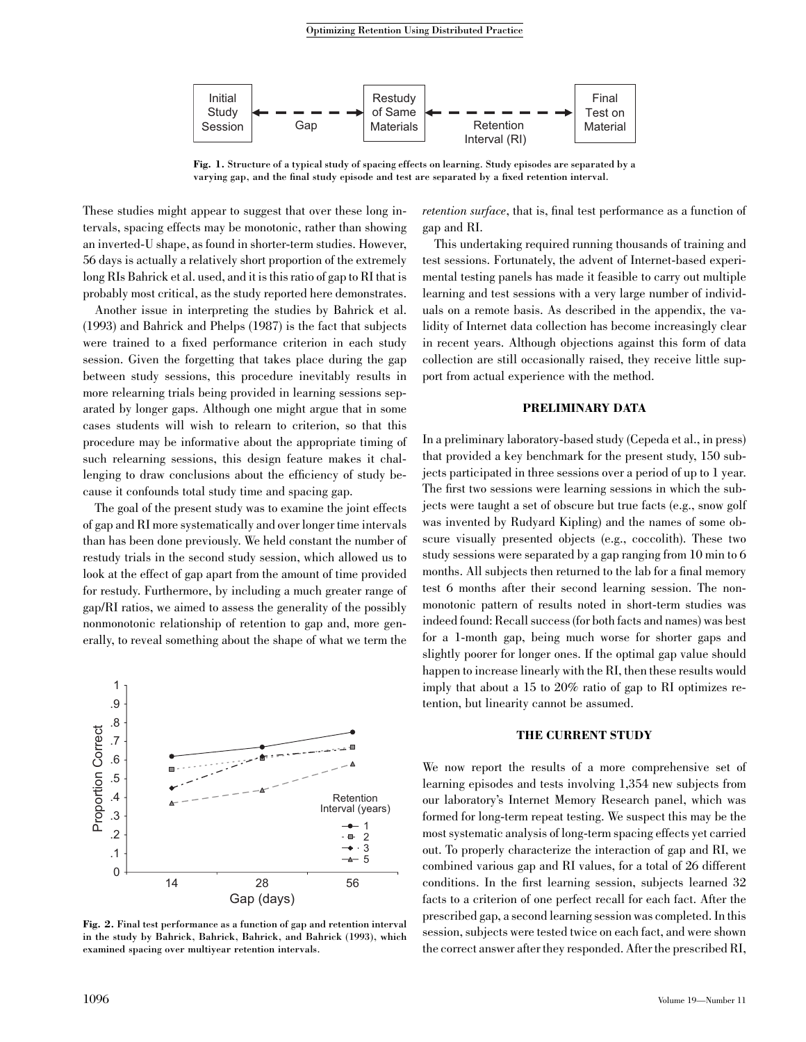

Fig. 1. Structure of a typical study of spacing effects on learning. Study episodes are separated by a varying gap, and the final study episode and test are separated by a fixed retention interval.

These studies might appear to suggest that over these long intervals, spacing effects may be monotonic, rather than showing an inverted-U shape, as found in shorter-term studies. However, 56 days is actually a relatively short proportion of the extremely long RIs Bahrick et al. used, and it is this ratio of gap to RI that is probably most critical, as the study reported here demonstrates.

Another issue in interpreting the studies by Bahrick et al. (1993) and Bahrick and Phelps (1987) is the fact that subjects were trained to a fixed performance criterion in each study session. Given the forgetting that takes place during the gap between study sessions, this procedure inevitably results in more relearning trials being provided in learning sessions separated by longer gaps. Although one might argue that in some cases students will wish to relearn to criterion, so that this procedure may be informative about the appropriate timing of such relearning sessions, this design feature makes it challenging to draw conclusions about the efficiency of study because it confounds total study time and spacing gap.

The goal of the present study was to examine the joint effects of gap and RI more systematically and over longer time intervals than has been done previously. We held constant the number of restudy trials in the second study session, which allowed us to look at the effect of gap apart from the amount of time provided for restudy. Furthermore, by including a much greater range of gap/RI ratios, we aimed to assess the generality of the possibly nonmonotonic relationship of retention to gap and, more generally, to reveal something about the shape of what we term the



Fig. 2. Final test performance as a function of gap and retention interval in the study by Bahrick, Bahrick, Bahrick, and Bahrick (1993), which examined spacing over multiyear retention intervals.

retention surface, that is, final test performance as a function of gap and RI.

This undertaking required running thousands of training and test sessions. Fortunately, the advent of Internet-based experimental testing panels has made it feasible to carry out multiple learning and test sessions with a very large number of individuals on a remote basis. As described in the appendix, the validity of Internet data collection has become increasingly clear in recent years. Although objections against this form of data collection are still occasionally raised, they receive little support from actual experience with the method.

#### PRELIMINARY DATA

In a preliminary laboratory-based study (Cepeda et al., in press) that provided a key benchmark for the present study, 150 subjects participated in three sessions over a period of up to 1 year. The first two sessions were learning sessions in which the subjects were taught a set of obscure but true facts (e.g., snow golf was invented by Rudyard Kipling) and the names of some obscure visually presented objects (e.g., coccolith). These two study sessions were separated by a gap ranging from 10 min to 6 months. All subjects then returned to the lab for a final memory test 6 months after their second learning session. The nonmonotonic pattern of results noted in short-term studies was indeed found: Recall success (for both facts and names) was best for a 1-month gap, being much worse for shorter gaps and slightly poorer for longer ones. If the optimal gap value should happen to increase linearly with the RI, then these results would imply that about a 15 to 20% ratio of gap to RI optimizes retention, but linearity cannot be assumed.

#### THE CURRENT STUDY

We now report the results of a more comprehensive set of learning episodes and tests involving 1,354 new subjects from our laboratory's Internet Memory Research panel, which was formed for long-term repeat testing. We suspect this may be the most systematic analysis of long-term spacing effects yet carried out. To properly characterize the interaction of gap and RI, we combined various gap and RI values, for a total of 26 different conditions. In the first learning session, subjects learned 32 facts to a criterion of one perfect recall for each fact. After the prescribed gap, a second learning session was completed. In this session, subjects were tested twice on each fact, and were shown the correct answer after they responded. After the prescribed RI,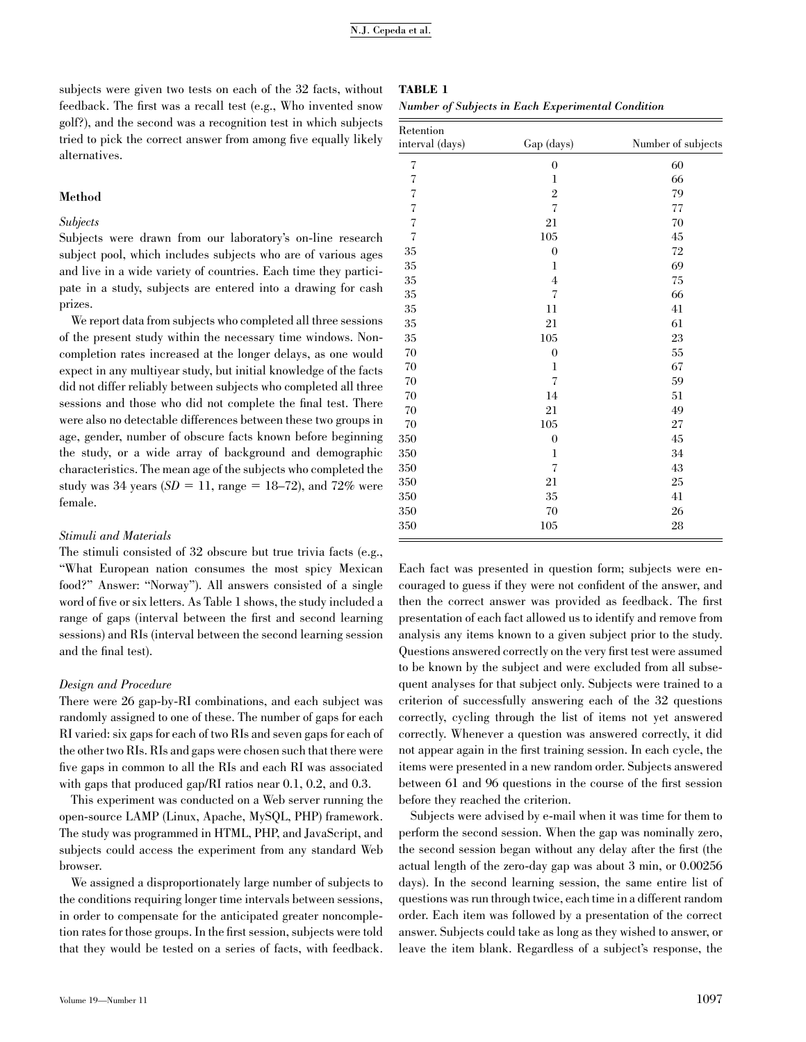subjects were given two tests on each of the 32 facts, without feedback. The first was a recall test (e.g., Who invented snow golf?), and the second was a recognition test in which subjects tried to pick the correct answer from among five equally likely alternatives.

#### Method

#### Subjects

Subjects were drawn from our laboratory's on-line research subject pool, which includes subjects who are of various ages and live in a wide variety of countries. Each time they participate in a study, subjects are entered into a drawing for cash prizes.

We report data from subjects who completed all three sessions of the present study within the necessary time windows. Noncompletion rates increased at the longer delays, as one would expect in any multiyear study, but initial knowledge of the facts did not differ reliably between subjects who completed all three sessions and those who did not complete the final test. There were also no detectable differences between these two groups in age, gender, number of obscure facts known before beginning the study, or a wide array of background and demographic characteristics. The mean age of the subjects who completed the study was 34 years  $(SD = 11, \text{ range} = 18–72)$ , and 72% were female.

#### Stimuli and Materials

The stimuli consisted of 32 obscure but true trivia facts (e.g., ''What European nation consumes the most spicy Mexican food?'' Answer: ''Norway''). All answers consisted of a single word of five or six letters. As Table 1 shows, the study included a range of gaps (interval between the first and second learning sessions) and RIs (interval between the second learning session and the final test).

#### Design and Procedure

There were 26 gap-by-RI combinations, and each subject was randomly assigned to one of these. The number of gaps for each RI varied: six gaps for each of two RIs and seven gaps for each of the other two RIs. RIs and gaps were chosen such that there were five gaps in common to all the RIs and each RI was associated with gaps that produced gap/RI ratios near 0.1, 0.2, and 0.3.

This experiment was conducted on a Web server running the open-source LAMP (Linux, Apache, MySQL, PHP) framework. The study was programmed in HTML, PHP, and JavaScript, and subjects could access the experiment from any standard Web browser.

We assigned a disproportionately large number of subjects to the conditions requiring longer time intervals between sessions, in order to compensate for the anticipated greater noncompletion rates for those groups. In the first session, subjects were told that they would be tested on a series of facts, with feedback.

| Retention                |                          |                    |
|--------------------------|--------------------------|--------------------|
| interval (days)          | Gap (days)               | Number of subjects |
| $\overline{\mathcal{C}}$ | $\boldsymbol{0}$         | 60                 |
| $\sqrt{ }$               | $\mathbf{l}$             | 66                 |
| $\overline{\mathcal{C}}$ | $\overline{2}$           | 79                 |
| $\overline{\mathcal{C}}$ | $\overline{\mathcal{L}}$ | $77\,$             |
| $\overline{\mathcal{C}}$ | 21                       | 70                 |
| $\overline{\mathcal{L}}$ | $105\,$                  | $\rm 45$           |
| $35\,$                   | $\boldsymbol{0}$         | $72\,$             |
| 35                       | 1                        | 69                 |
| $35\,$                   | $\overline{4}$           | $75\,$             |
| 35                       | 7                        | 66                 |
| 35                       | 11                       | 41                 |
| $35\,$                   | 21                       | 61                 |
| $35\,$                   | $105\,$                  | $23\,$             |
| 70                       | $\boldsymbol{0}$         | 55                 |
| $70\,$                   | 1                        | 67                 |
| $70\,$                   | 7                        | 59                 |
| $70\,$                   | 14                       | 51                 |
| 70                       | 21                       | 49                 |
| $70\,$                   | $105\,$                  | 27                 |
| 350                      | $\boldsymbol{0}$         | 45                 |
| 350                      | $\mathbf{l}$             | 34                 |
| 350                      | 7                        | 43                 |
| 350                      | 21                       | 25                 |
| 350                      | $35\,$                   | 41                 |
| 350                      | 70                       | 26                 |
| 350                      | 105                      | 28                 |

TABLE 1

Number of Subjects in Each Experimental Condition

Each fact was presented in question form; subjects were encouraged to guess if they were not confident of the answer, and then the correct answer was provided as feedback. The first presentation of each fact allowed us to identify and remove from analysis any items known to a given subject prior to the study. Questions answered correctly on the very first test were assumed to be known by the subject and were excluded from all subsequent analyses for that subject only. Subjects were trained to a criterion of successfully answering each of the 32 questions correctly, cycling through the list of items not yet answered correctly. Whenever a question was answered correctly, it did not appear again in the first training session. In each cycle, the items were presented in a new random order. Subjects answered between 61 and 96 questions in the course of the first session before they reached the criterion.

Subjects were advised by e-mail when it was time for them to perform the second session. When the gap was nominally zero, the second session began without any delay after the first (the actual length of the zero-day gap was about 3 min, or 0.00256 days). In the second learning session, the same entire list of questions was run through twice, each time in a different random order. Each item was followed by a presentation of the correct answer. Subjects could take as long as they wished to answer, or leave the item blank. Regardless of a subject's response, the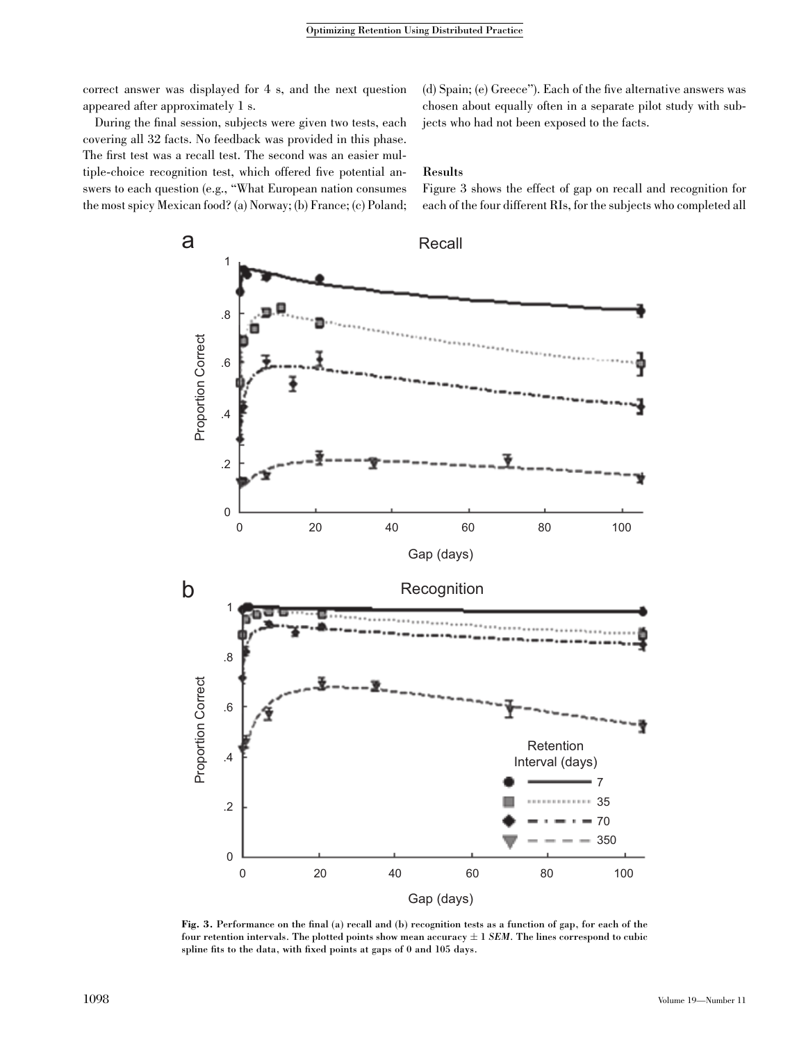correct answer was displayed for 4 s, and the next question appeared after approximately 1 s.

(d) Spain; (e) Greece''). Each of the five alternative answers was chosen about equally often in a separate pilot study with subjects who had not been exposed to the facts.

During the final session, subjects were given two tests, each covering all 32 facts. No feedback was provided in this phase. The first test was a recall test. The second was an easier multiple-choice recognition test, which offered five potential answers to each question (e.g., ''What European nation consumes the most spicy Mexican food? (a) Norway; (b) France; (c) Poland;

Results

Figure 3 shows the effect of gap on recall and recognition for each of the four different RIs, for the subjects who completed all



Fig. 3. Performance on the final (a) recall and (b) recognition tests as a function of gap, for each of the four retention intervals. The plotted points show mean accuracy  $\pm$  1 SEM. The lines correspond to cubic spline fits to the data, with fixed points at gaps of 0 and 105 days.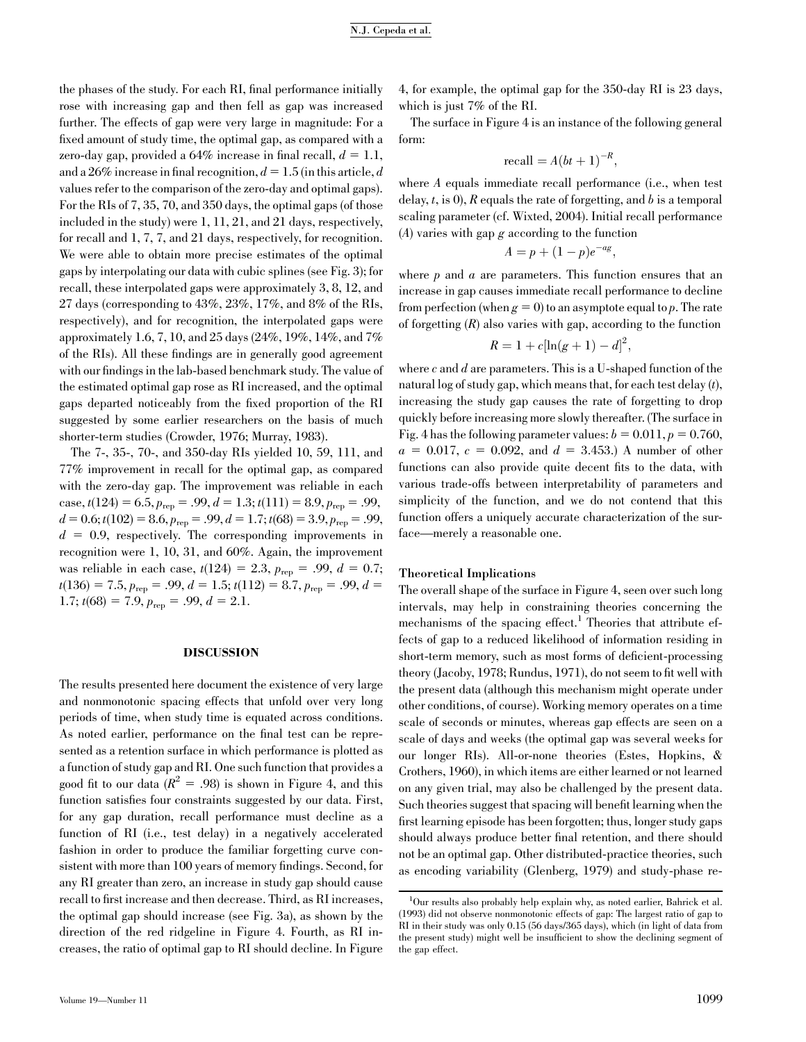the phases of the study. For each RI, final performance initially rose with increasing gap and then fell as gap was increased further. The effects of gap were very large in magnitude: For a fixed amount of study time, the optimal gap, as compared with a zero-day gap, provided a  $64\%$  increase in final recall,  $d = 1.1$ , and a 26% increase in final recognition,  $d = 1.5$  (in this article, d values refer to the comparison of the zero-day and optimal gaps). For the RIs of 7, 35, 70, and 350 days, the optimal gaps (of those included in the study) were 1, 11, 21, and 21 days, respectively, for recall and 1, 7, 7, and 21 days, respectively, for recognition. We were able to obtain more precise estimates of the optimal gaps by interpolating our data with cubic splines (see Fig. 3); for recall, these interpolated gaps were approximately 3, 8, 12, and 27 days (corresponding to 43%, 23%, 17%, and 8% of the RIs, respectively), and for recognition, the interpolated gaps were approximately 1.6, 7, 10, and 25 days (24%, 19%, 14%, and 7% of the RIs). All these findings are in generally good agreement with our findings in the lab-based benchmark study. The value of the estimated optimal gap rose as RI increased, and the optimal gaps departed noticeably from the fixed proportion of the RI suggested by some earlier researchers on the basis of much shorter-term studies (Crowder, 1976; Murray, 1983).

The 7-, 35-, 70-, and 350-day RIs yielded 10, 59, 111, and 77% improvement in recall for the optimal gap, as compared with the zero-day gap. The improvement was reliable in each case,  $t(124) = 6.5$ ,  $p_{\text{rep}} = .99$ ,  $d = 1.3$ ;  $t(111) = 8.9$ ,  $p_{\text{rep}} = .99$ ,  $d = 0.6$ ;  $t(102) = 8.6$ ,  $p_{\text{rep}} = .99$ ,  $d = 1.7$ ;  $t(68) = 3.9$ ,  $p_{\text{rep}} = .99$ ,  $d = 0.9$ , respectively. The corresponding improvements in recognition were 1, 10, 31, and 60%. Again, the improvement was reliable in each case,  $t(124) = 2.3$ ,  $p_{\text{rep}} = .99$ ,  $d = 0.7$ ;  $t(136) = 7.5, p_{\text{rep}} = .99, d = 1.5; t(112) = 8.7, p_{\text{rep}} = .99, d =$ 1.7;  $t(68) = 7.9$ ,  $p_{\text{rep}} = .99$ ,  $d = 2.1$ .

#### DISCUSSION

The results presented here document the existence of very large and nonmonotonic spacing effects that unfold over very long periods of time, when study time is equated across conditions. As noted earlier, performance on the final test can be represented as a retention surface in which performance is plotted as a function of study gap and RI. One such function that provides a good fit to our data ( $R^2 = .98$ ) is shown in Figure 4, and this function satisfies four constraints suggested by our data. First, for any gap duration, recall performance must decline as a function of RI (i.e., test delay) in a negatively accelerated fashion in order to produce the familiar forgetting curve consistent with more than 100 years of memory findings. Second, for any RI greater than zero, an increase in study gap should cause recall to first increase and then decrease. Third, as RI increases, the optimal gap should increase (see Fig. 3a), as shown by the direction of the red ridgeline in Figure 4. Fourth, as RI increases, the ratio of optimal gap to RI should decline. In Figure 4, for example, the optimal gap for the 350-day RI is 23 days, which is just 7% of the RI.

The surface in Figure 4 is an instance of the following general form:

$$
\text{recall} = A(bt+1)^{-R},
$$

where A equals immediate recall performance (i.e., when test delay,  $t$ , is 0), R equals the rate of forgetting, and b is a temporal scaling parameter (cf. Wixted, 2004). Initial recall performance  $(A)$  varies with gap g according to the function

$$
A = p + (1 - p)e^{-ag},
$$

where  $p$  and  $a$  are parameters. This function ensures that an increase in gap causes immediate recall performance to decline from perfection (when  $g = 0$ ) to an asymptote equal to p. The rate of forgetting  $(R)$  also varies with gap, according to the function

$$
R = 1 + c[\ln(g+1) - d]^2,
$$

where  $c$  and  $d$  are parameters. This is a U-shaped function of the natural log of study gap, which means that, for each test delay  $(t)$ , increasing the study gap causes the rate of forgetting to drop quickly before increasing more slowly thereafter. (The surface in Fig. 4 has the following parameter values:  $b = 0.011$ ,  $p = 0.760$ ,  $a = 0.017$ ,  $c = 0.092$ , and  $d = 3.453$ .) A number of other functions can also provide quite decent fits to the data, with various trade-offs between interpretability of parameters and simplicity of the function, and we do not contend that this function offers a uniquely accurate characterization of the surface—merely a reasonable one.

#### Theoretical Implications

The overall shape of the surface in Figure 4, seen over such long intervals, may help in constraining theories concerning the mechanisms of the spacing effect.<sup>1</sup> Theories that attribute effects of gap to a reduced likelihood of information residing in short-term memory, such as most forms of deficient-processing theory (Jacoby, 1978; Rundus, 1971), do not seem to fit well with the present data (although this mechanism might operate under other conditions, of course). Working memory operates on a time scale of seconds or minutes, whereas gap effects are seen on a scale of days and weeks (the optimal gap was several weeks for our longer RIs). All-or-none theories (Estes, Hopkins, & Crothers, 1960), in which items are either learned or not learned on any given trial, may also be challenged by the present data. Such theories suggest that spacing will benefit learning when the first learning episode has been forgotten; thus, longer study gaps should always produce better final retention, and there should not be an optimal gap. Other distributed-practice theories, such as encoding variability (Glenberg, 1979) and study-phase re-

<sup>1</sup> Our results also probably help explain why, as noted earlier, Bahrick et al. (1993) did not observe nonmonotonic effects of gap: The largest ratio of gap to RI in their study was only 0.15 (56 days/365 days), which (in light of data from the present study) might well be insufficient to show the declining segment of the gap effect.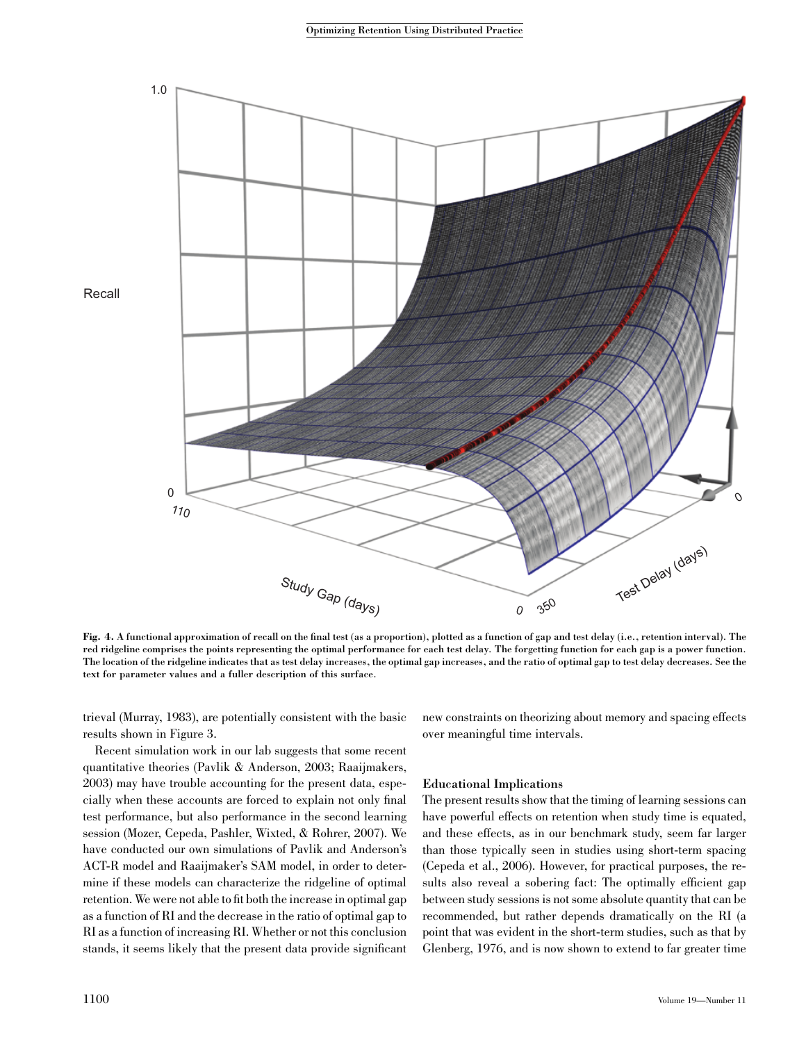

Fig. 4. A functional approximation of recall on the final test (as a proportion), plotted as a function of gap and test delay (i.e., retention interval). The red ridgeline comprises the points representing the optimal performance for each test delay. The forgetting function for each gap is a power function. The location of the ridgeline indicates that as test delay increases, the optimal gap increases, and the ratio of optimal gap to test delay decreases. See the text for parameter values and a fuller description of this surface.

trieval (Murray, 1983), are potentially consistent with the basic results shown in Figure 3.

new constraints on theorizing about memory and spacing effects over meaningful time intervals.

Recent simulation work in our lab suggests that some recent quantitative theories (Pavlik & Anderson, 2003; Raaijmakers, 2003) may have trouble accounting for the present data, especially when these accounts are forced to explain not only final test performance, but also performance in the second learning session (Mozer, Cepeda, Pashler, Wixted, & Rohrer, 2007). We have conducted our own simulations of Pavlik and Anderson's ACT-R model and Raaijmaker's SAM model, in order to determine if these models can characterize the ridgeline of optimal retention. We were not able to fit both the increase in optimal gap as a function of RI and the decrease in the ratio of optimal gap to RI as a function of increasing RI. Whether or not this conclusion stands, it seems likely that the present data provide significant

#### Educational Implications

The present results show that the timing of learning sessions can have powerful effects on retention when study time is equated, and these effects, as in our benchmark study, seem far larger than those typically seen in studies using short-term spacing (Cepeda et al., 2006). However, for practical purposes, the results also reveal a sobering fact: The optimally efficient gap between study sessions is not some absolute quantity that can be recommended, but rather depends dramatically on the RI (a point that was evident in the short-term studies, such as that by Glenberg, 1976, and is now shown to extend to far greater time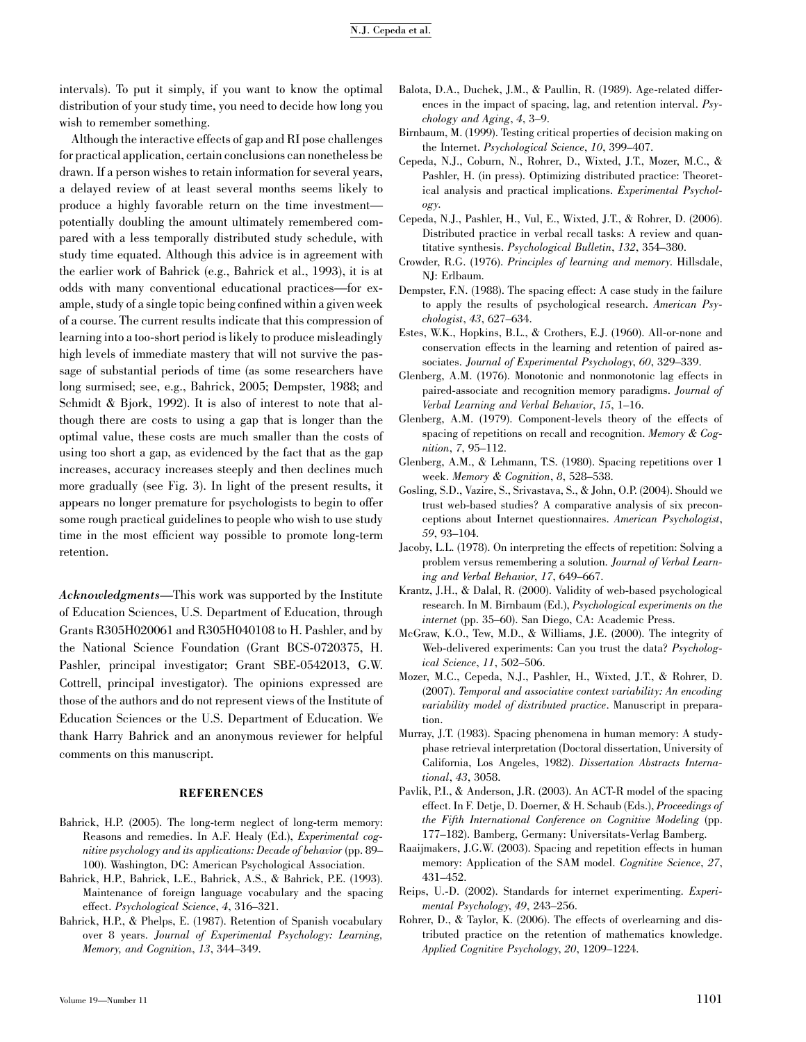intervals). To put it simply, if you want to know the optimal distribution of your study time, you need to decide how long you wish to remember something.

Although the interactive effects of gap and RI pose challenges for practical application, certain conclusions can nonetheless be drawn. If a person wishes to retain information for several years, a delayed review of at least several months seems likely to produce a highly favorable return on the time investment potentially doubling the amount ultimately remembered compared with a less temporally distributed study schedule, with study time equated. Although this advice is in agreement with the earlier work of Bahrick (e.g., Bahrick et al., 1993), it is at odds with many conventional educational practices—for example, study of a single topic being confined within a given week of a course. The current results indicate that this compression of learning into a too-short period is likely to produce misleadingly high levels of immediate mastery that will not survive the passage of substantial periods of time (as some researchers have long surmised; see, e.g., Bahrick, 2005; Dempster, 1988; and Schmidt & Bjork, 1992). It is also of interest to note that although there are costs to using a gap that is longer than the optimal value, these costs are much smaller than the costs of using too short a gap, as evidenced by the fact that as the gap increases, accuracy increases steeply and then declines much more gradually (see Fig. 3). In light of the present results, it appears no longer premature for psychologists to begin to offer some rough practical guidelines to people who wish to use study time in the most efficient way possible to promote long-term retention.

Acknowledgments—This work was supported by the Institute of Education Sciences, U.S. Department of Education, through Grants R305H020061 and R305H040108 to H. Pashler, and by the National Science Foundation (Grant BCS-0720375, H. Pashler, principal investigator; Grant SBE-0542013, G.W. Cottrell, principal investigator). The opinions expressed are those of the authors and do not represent views of the Institute of Education Sciences or the U.S. Department of Education. We thank Harry Bahrick and an anonymous reviewer for helpful comments on this manuscript.

#### **REFERENCES**

- Bahrick, H.P. (2005). The long-term neglect of long-term memory: Reasons and remedies. In A.F. Healy (Ed.), Experimental cognitive psychology and its applications: Decade of behavior (pp. 89– 100). Washington, DC: American Psychological Association.
- Bahrick, H.P., Bahrick, L.E., Bahrick, A.S., & Bahrick, P.E. (1993). Maintenance of foreign language vocabulary and the spacing effect. Psychological Science, 4, 316–321.
- Bahrick, H.P., & Phelps, E. (1987). Retention of Spanish vocabulary over 8 years. Journal of Experimental Psychology: Learning, Memory, and Cognition, 13, 344–349.
- Balota, D.A., Duchek, J.M., & Paullin, R. (1989). Age-related differences in the impact of spacing, lag, and retention interval. Psychology and Aging, 4, 3–9.
- Birnbaum, M. (1999). Testing critical properties of decision making on the Internet. Psychological Science, 10, 399–407.
- Cepeda, N.J., Coburn, N., Rohrer, D., Wixted, J.T., Mozer, M.C., & Pashler, H. (in press). Optimizing distributed practice: Theoretical analysis and practical implications. Experimental Psychology.
- Cepeda, N.J., Pashler, H., Vul, E., Wixted, J.T., & Rohrer, D. (2006). Distributed practice in verbal recall tasks: A review and quantitative synthesis. Psychological Bulletin, 132, 354–380.
- Crowder, R.G. (1976). Principles of learning and memory. Hillsdale, NJ: Erlbaum.
- Dempster, F.N. (1988). The spacing effect: A case study in the failure to apply the results of psychological research. American Psychologist, 43, 627–634.
- Estes, W.K., Hopkins, B.L., & Crothers, E.J. (1960). All-or-none and conservation effects in the learning and retention of paired associates. Journal of Experimental Psychology, 60, 329–339.
- Glenberg, A.M. (1976). Monotonic and nonmonotonic lag effects in paired-associate and recognition memory paradigms. Journal of Verbal Learning and Verbal Behavior, 15, 1–16.
- Glenberg, A.M. (1979). Component-levels theory of the effects of spacing of repetitions on recall and recognition. Memory & Cognition, 7, 95–112.
- Glenberg, A.M., & Lehmann, T.S. (1980). Spacing repetitions over 1 week. Memory & Cognition, 8, 528–538.
- Gosling, S.D., Vazire, S., Srivastava, S., & John, O.P. (2004). Should we trust web-based studies? A comparative analysis of six preconceptions about Internet questionnaires. American Psychologist, 59, 93–104.
- Jacoby, L.L. (1978). On interpreting the effects of repetition: Solving a problem versus remembering a solution. Journal of Verbal Learning and Verbal Behavior, 17, 649–667.
- Krantz, J.H., & Dalal, R. (2000). Validity of web-based psychological research. In M. Birnbaum (Ed.), Psychological experiments on the internet (pp. 35–60). San Diego, CA: Academic Press.
- McGraw, K.O., Tew, M.D., & Williams, J.E. (2000). The integrity of Web-delivered experiments: Can you trust the data? Psychological Science, 11, 502–506.
- Mozer, M.C., Cepeda, N.J., Pashler, H., Wixted, J.T., & Rohrer, D. (2007). Temporal and associative context variability: An encoding variability model of distributed practice. Manuscript in preparation.
- Murray, J.T. (1983). Spacing phenomena in human memory: A studyphase retrieval interpretation (Doctoral dissertation, University of California, Los Angeles, 1982). Dissertation Abstracts International, 43, 3058.
- Pavlik, P.I., & Anderson, J.R. (2003). An ACT-R model of the spacing effect. In F. Detje, D. Doerner, & H. Schaub (Eds.), Proceedings of the Fifth International Conference on Cognitive Modeling (pp. 177–182). Bamberg, Germany: Universitats-Verlag Bamberg.
- Raaijmakers, J.G.W. (2003). Spacing and repetition effects in human memory: Application of the SAM model. Cognitive Science, 27, 431–452.
- Reips, U.-D. (2002). Standards for internet experimenting. Experimental Psychology, 49, 243–256.
- Rohrer, D., & Taylor, K. (2006). The effects of overlearning and distributed practice on the retention of mathematics knowledge. Applied Cognitive Psychology, 20, 1209–1224.